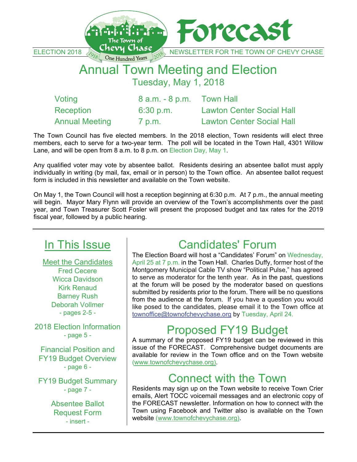

Tuesday, May 1, 2018

| Voting                | $8$ a.m. $-8$ p.m. Town Hall |                                  |
|-----------------------|------------------------------|----------------------------------|
| Reception             | 6:30 p.m.                    | <b>Lawton Center Social Hall</b> |
| <b>Annual Meeting</b> | 7 p.m.                       | <b>Lawton Center Social Hall</b> |

The Town Council has five elected members. In the 2018 election, Town residents will elect three members, each to serve for a two-year term. The poll will be located in the Town Hall, 4301 Willow Lane, and will be open from 8 a.m. to 8 p.m. on Election Day, May 1.

Any qualified voter may vote by absentee ballot. Residents desiring an absentee ballot must apply individually in writing (by mail, fax, email or in person) to the Town office. An absentee ballot request form is included in this newsletter and available on the Town website.

On May 1, the Town Council will host a reception beginning at 6:30 p.m. At 7 p.m., the annual meeting will begin. Mayor Mary Flynn will provide an overview of the Town's accomplishments over the past year, and Town Treasurer Scott Fosler will present the proposed budget and tax rates for the 2019 fiscal year, followed by a public hearing.

# In This Issue

Meet the Candidates Fred Cecere Wicca Davidson Kirk Renaud Barney Rush Deborah Vollmer - pages 2-5 -

2018 Election Information - page 5 -

Financial Position and FY19 Budget Overview - page 6 -

FY19 Budget Summary - page 7 -

> Absentee Ballot Request Form - insert -

# Candidates' Forum

The Election Board will host a "Candidates' Forum" on Wednesday, April 25 at 7 p.m. in the Town Hall. Charles Duffy, former host of the Montgomery Municipal Cable TV show "Political Pulse," has agreed to serve as moderator for the tenth year. As in the past, questions at the forum will be posed by the moderator based on questions submitted by residents prior to the forum. There will be no questions from the audience at the forum. If you have a question you would like posed to the candidates, please email it to the Town office at townoffice@townofchevychase.org by Tuesday, April 24.

# Proposed FY19 Budget

A summary of the proposed FY19 budget can be reviewed in this issue of the FORECAST. Comprehensive budget documents are available for review in the Town office and on the Town website (www.townofchevychase.org).

# Connect with the Town

Residents may sign up on the Town website to receive Town Crier emails, Alert TOCC voicemail messages and an electronic copy of the FORECAST newsletter. Information on how to connect with the Town using Facebook and Twitter also is available on the Town website (www.townofchevychase.org).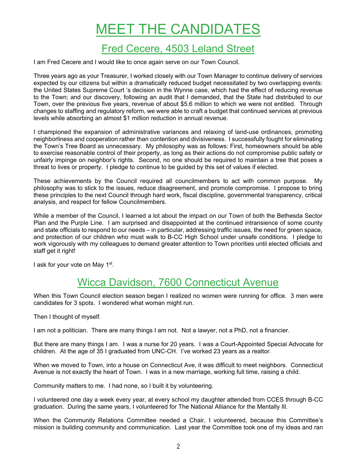# MEET THE CANDIDATES

### Fred Cecere, 4503 Leland Street

I am Fred Cecere and I would like to once again serve on our Town Council.

Three years ago as your Treasurer, I worked closely with our Town Manager to continue delivery of services expected by our citizens but within a dramatically reduced budget necessitated by two overlapping events: the United States Supreme Court 's decision in the Wynne case, which had the effect of reducing revenue to the Town; and our discovery, following an audit that I demanded, that the State had distributed to our Town, over the previous five years, revenue of about \$5.6 million to which we were not entitled. Through changes to staffing and regulatory reform, we were able to craft a budget that continued services at previous levels while absorbing an almost \$1 million reduction in annual revenue.

I championed the expansion of administrative variances and relaxing of land-use ordinances, promoting neighborliness and cooperation rather than contention and divisiveness. I successfully fought for eliminating the Town's Tree Board as unnecessary. My philosophy was as follows: First, homeowners should be able to exercise reasonable control of their property, as long as their actions do not compromise public safety or unfairly impinge on neighbor's rights. Second, no one should be required to maintain a tree that poses a threat to lives or property. I pledge to continue to be guided by this set of values if elected.

These achievements by the Council required all councilmembers to act with common purpose. My philosophy was to stick to the issues, reduce disagreement, and promote compromise. I propose to bring these principles to the next Council through hard work, fiscal discipline, governmental transparency, critical analysis, and respect for fellow Councilmembers.

While a member of the Council, I learned a lot about the impact on our Town of both the Bethesda Sector Plan and the Purple Line. I am surprised and disappointed at the continued intransience of some county and state officials to respond to our needs – in particular, addressing traffic issues, the need for green space, and protection of our children who must walk to B-CC High School under unsafe conditions. I pledge to work vigorously with my colleagues to demand greater attention to Town priorities until elected officials and staff get it right!

I ask for your vote on May 1<sup>st</sup>.

### Wicca Davidson, 7600 Connecticut Avenue

When this Town Council election season began I realized no women were running for office. 3 men were candidates for 3 spots. I wondered what woman might run.

Then I thought of myself.

I am not a politician. There are many things I am not. Not a lawyer, not a PhD, not a financier.

But there are many things I am. I was a nurse for 20 years. I was a Court-Appointed Special Advocate for children. At the age of 35 I graduated from UNC-CH. I've worked 23 years as a realtor.

When we moved to Town, into a house on Connecticut Ave, it was difficult to meet neighbors. Connecticut Avenue is not exactly the heart of Town. I was in a new marriage, working full time, raising a child.

Community matters to me. I had none, so I built it by volunteering.

I volunteered one day a week every year, at every school my daughter attended from CCES through B-CC graduation. During the same years, I volunteered for The National Alliance for the Mentally Ill.

When the Community Relations Committee needed a Chair, I volunteered, because this Committee's mission is building community and communication. Last year the Committee took one of my ideas and ran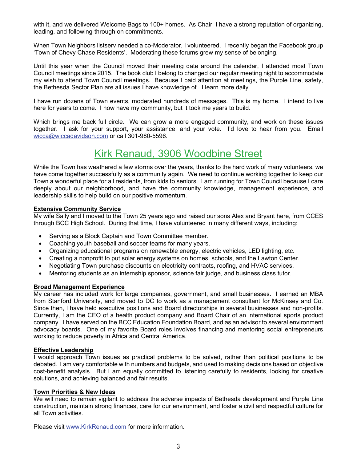with it, and we delivered Welcome Bags to 100+ homes. As Chair, I have a strong reputation of organizing, leading, and following-through on commitments.

When Town Neighbors listserv needed a co-Moderator, I volunteered. I recently began the Facebook group 'Town of Chevy Chase Residents'. Moderating these forums grew my sense of belonging.

Until this year when the Council moved their meeting date around the calendar, I attended most Town Council meetings since 2015. The book club I belong to changed our regular meeting night to accommodate my wish to attend Town Council meetings. Because I paid attention at meetings, the Purple Line, safety, the Bethesda Sector Plan are all issues I have knowledge of. I learn more daily.

I have run dozens of Town events, moderated hundreds of messages. This is my home. I intend to live here for years to come. I now have my community, but it took me years to build.

Which brings me back full circle. We can grow a more engaged community, and work on these issues together. I ask for your support, your assistance, and your vote. I'd love to hear from you. Email wicca@wiccadavidson.com or call 301-980-5596.

## Kirk Renaud, 3906 Woodbine Street

While the Town has weathered a few storms over the years, thanks to the hard work of many volunteers, we have come together successfully as a community again. We need to continue working together to keep our Town a wonderful place for all residents, from kids to seniors. I am running for Town Council because I care deeply about our neighborhood, and have the community knowledge, management experience, and leadership skills to help build on our positive momentum.

#### **Extensive Community Service**

My wife Sally and I moved to the Town 25 years ago and raised our sons Alex and Bryant here, from CCES through BCC High School. During that time, I have volunteered in many different ways, including:

- Serving as a Block Captain and Town Committee member.
- Coaching youth baseball and soccer teams for many years.
- Organizing educational programs on renewable energy, electric vehicles, LED lighting, etc.
- Creating a nonprofit to put solar energy systems on homes, schools, and the Lawton Center.
- Negotiating Town purchase discounts on electricity contracts, roofing, and HVAC services.
- Mentoring students as an internship sponsor, science fair judge, and business class tutor.

#### **Broad Management Experience**

My career has included work for large companies, government, and small businesses. I earned an MBA from Stanford University, and moved to DC to work as a management consultant for McKinsey and Co. Since then, I have held executive positions and Board directorships in several businesses and non-profits. Currently, I am the CEO of a health product company and Board Chair of an international sports product company. I have served on the BCC Education Foundation Board, and as an advisor to several environment advocacy boards. One of my favorite Board roles involves financing and mentoring social entrepreneurs working to reduce poverty in Africa and Central America.

#### **Effective Leadership**

I would approach Town issues as practical problems to be solved, rather than political positions to be debated. I am very comfortable with numbers and budgets, and used to making decisions based on objective cost-benefit analysis. But I am equally committed to listening carefully to residents, looking for creative solutions, and achieving balanced and fair results.

#### **Town Priorities & New Ideas**

We will need to remain vigilant to address the adverse impacts of Bethesda development and Purple Line construction, maintain strong finances, care for our environment, and foster a civil and respectful culture for all Town activities.

Please visit www.KirkRenaud.com for more information.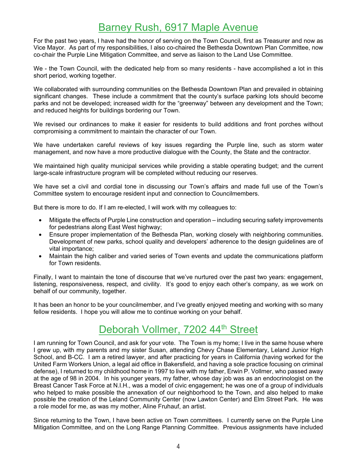### Barney Rush, 6917 Maple Avenue

For the past two years, I have had the honor of serving on the Town Council, first as Treasurer and now as Vice Mayor. As part of my responsibilities, I also co-chaired the Bethesda Downtown Plan Committee, now co-chair the Purple Line Mitigation Committee, and serve as liaison to the Land Use Committee.

We - the Town Council, with the dedicated help from so many residents - have accomplished a lot in this short period, working together.

We collaborated with surrounding communities on the Bethesda Downtown Plan and prevailed in obtaining significant changes. These include a commitment that the county's surface parking lots should become parks and not be developed; increased width for the "greenway" between any development and the Town; and reduced heights for buildings bordering our Town.

We revised our ordinances to make it easier for residents to build additions and front porches without compromising a commitment to maintain the character of our Town.

We have undertaken careful reviews of key issues regarding the Purple line, such as storm water management, and now have a more productive dialogue with the County, the State and the contractor.

We maintained high quality municipal services while providing a stable operating budget; and the current large-scale infrastructure program will be completed without reducing our reserves.

We have set a civil and cordial tone in discussing our Town's affairs and made full use of the Town's Committee system to encourage resident input and connection to Councilmembers.

But there is more to do. If I am re-elected, I will work with my colleagues to:

- Mitigate the effects of Purple Line construction and operation including securing safety improvements for pedestrians along East West highway;
- Ensure proper implementation of the Bethesda Plan, working closely with neighboring communities. Development of new parks, school quality and developers' adherence to the design guidelines are of vital importance;
- Maintain the high caliber and varied series of Town events and update the communications platform for Town residents.

Finally, I want to maintain the tone of discourse that we've nurtured over the past two years: engagement, listening, responsiveness, respect, and civility. It's good to enjoy each other's company, as we work on behalf of our community, together.

It has been an honor to be your councilmember, and I've greatly enjoyed meeting and working with so many fellow residents. I hope you will allow me to continue working on your behalf.

### Deborah Vollmer, 7202 44<sup>th</sup> Street

I am running for Town Council, and ask for your vote. The Town is my home; I live in the same house where I grew up, with my parents and my sister Susan, attending Chevy Chase Elementary, Leland Junior High School, and B-CC. I am a retired lawyer, and after practicing for years in California (having worked for the United Farm Workers Union, a legal aid office in Bakersfield, and having a sole practice focusing on criminal defense), I returned to my childhood home in 1997 to live with my father, Erwin P. Vollmer, who passed away at the age of 98 in 2004. In his younger years, my father, whose day job was as an endocrinologist on the Breast Cancer Task Force at N.I.H., was a model of civic engagement; he was one of a group of individuals who helped to make possible the annexation of our neighborhood to the Town, and also helped to make possible the creation of the Leland Community Center (now Lawton Center) and Elm Street Park. He was a role model for me, as was my mother, Aline Fruhauf, an artist.

Since returning to the Town, I have been active on Town committees. I currently serve on the Purple Line Mitigation Committee, and on the Long Range Planning Committee. Previous assignments have included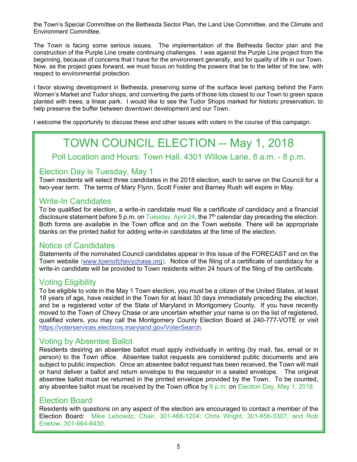the Town's Special Committee on the Bethesda Sector Plan, the Land Use Committee, and the Climate and Environment Committee.

The Town is facing some serious issues. The implementation of the Bethesda Sector plan and the construction of the Purple Line create continuing challenges. I was against the Purple Line project from the beginning, because of concerns that I have for the environment generally, and for quality of life in our Town. Now, as the project goes forward, we must focus on holding the powers that be to the letter of the law, with respect to environmental protection.

I favor slowing development in Bethesda, preserving some of the surface level parking behind the Farm Women's Market and Tudor shops, and converting the parts of those lots closest to our Town to green space planted with trees, a linear park. I would like to see the Tudor Shops marked for historic preservation, to help preserve the buffer between downtown development and our Town.

I welcome the opportunity to discuss these and other issues with voters in the course of this campaign.

# TOWN COUNCIL ELECTION -- May 1, 2018

Poll Location and Hours: Town Hall, 4301 Willow Lane, 8 a.m. - 8 p.m.

### Election Day is Tuesday, May 1

Town residents will select three candidates in the 2018 election, each to serve on the Council for a two-year term. The terms of Mary Flynn, Scott Fosler and Barney Rush will expire in May.

#### Write-In Candidates

To be qualified for election, a write-in candidate must file a certificate of candidacy and a financial disclosure statement before 5 p.m. on Tuesday, April 24, the  $7<sup>th</sup>$  calendar day preceding the election. Both forms are available in the Town office and on the Town website. There will be appropriate blanks on the printed ballot for adding write-in candidates at the time of the election.

### Notice of Candidates

Statements of the nominated Council candidates appear in this issue of the FORECAST and on the Town website (www.townofchevychase.org). Notice of the filing of a certificate of candidacy for a write-in candidate will be provided to Town residents within 24 hours of the filing of the certificate.

### Voting Eligibility

To be eligible to vote in the May 1 Town election, you must be a citizen of the United States, at least 18 years of age, have resided in the Town for at least 30 days immediately preceding the election, and be a registered voter of the State of Maryland in Montgomery County. If you have recently moved to the Town of Chevy Chase or are uncertain whether your name is on the list of registered, qualified voters, you may call the Montgomery County Election Board at 240-777-VOTE or visit https://voterservices.elections.maryland.gov/VoterSearch.

### Voting by Absentee Ballot

Residents desiring an absentee ballot must apply individually in writing (by mail, fax, email or in person) to the Town office. Absentee ballot requests are considered public documents and are subject to public inspection. Once an absentee ballot request has been received, the Town will mail or hand deliver a ballot and return envelope to the requestor in a sealed envelope. The original absentee ballot must be returned in the printed envelope provided by the Town. To be counted, any absentee ballot must be received by the Town office by 8 p.m. on Election Day, May 1, 2018.

### Election Board

Residents with questions on any aspect of the election are encouraged to contact a member of the Election Board: Mike Lebowitz, Chair, 301-466-1204; Chris Wright, 301-656-3307; and Rob Enelow, 301-664-6430.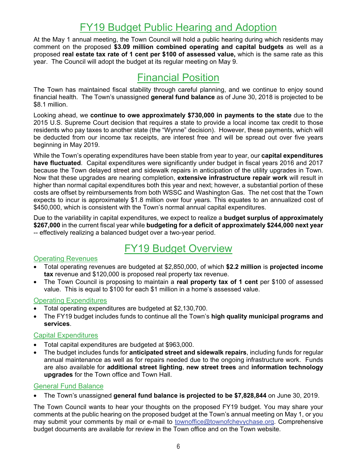## FY19 Budget Public Hearing and Adoption

At the May 1 annual meeting, the Town Council will hold a public hearing during which residents may comment on the proposed **\$3.09 million combined operating and capital budgets** as well as a proposed **real estate tax rate of 1 cent per \$100 of assessed value,** which is the same rate as this year. The Council will adopt the budget at its regular meeting on May 9.

### Financial Position

The Town has maintained fiscal stability through careful planning, and we continue to enjoy sound financial health. The Town's unassigned **general fund balance** as of June 30, 2018 is projected to be \$8.1 million.

Looking ahead, we **continue to owe approximately \$730,000 in payments to the state** due to the 2015 U.S. Supreme Court decision that requires a state to provide a local income tax credit to those residents who pay taxes to another state (the "Wynne" decision). However, these payments, which will be deducted from our income tax receipts, are interest free and will be spread out over five years beginning in May 2019.

While the Town's operating expenditures have been stable from year to year, our **capital expenditures have fluctuated**. Capital expenditures were significantly under budget in fiscal years 2016 and 2017 because the Town delayed street and sidewalk repairs in anticipation of the utility upgrades in Town. Now that these upgrades are nearing completion, **extensive infrastructure repair work** will result in higher than normal capital expenditures both this year and next; however, a substantial portion of these costs are offset by reimbursements from both WSSC and Washington Gas. The net cost that the Town expects to incur is approximately \$1.8 million over four years. This equates to an annualized cost of \$450,000, which is consistent with the Town's normal annual capital expenditures.

Due to the variability in capital expenditures, we expect to realize a **budget surplus of approximately \$267,000** in the current fiscal year while **budgeting for a deficit of approximately \$244,000 next year** -- effectively realizing a balanced budget over a two-year period.

### FY19 Budget Overview

#### Operating Revenues

- Total operating revenues are budgeted at \$2,850,000, of which **\$2.2 million** is **projected income tax** revenue and \$120,000 is proposed real property tax revenue.
- The Town Council is proposing to maintain a **real property tax of 1 cent** per \$100 of assessed value. This is equal to \$100 for each \$1 million in a home's assessed value.

#### Operating Expenditures

- Total operating expenditures are budgeted at \$2,130,700.
- The FY19 budget includes funds to continue all the Town's **high quality municipal programs and services**.

#### Capital Expenditures

- Total capital expenditures are budgeted at \$963,000.
- The budget includes funds for **anticipated street and sidewalk repairs**, including funds for regular annual maintenance as well as for repairs needed due to the ongoing infrastructure work. Funds are also available for **additional street lighting**, **new street trees** and **information technology upgrades** for the Town office and Town Hall.

#### General Fund Balance

• The Town's unassigned **general fund balance is projected to be \$7,828,844** on June 30, 2019.

The Town Council wants to hear your thoughts on the proposed FY19 budget. You may share your comments at the public hearing on the proposed budget at the Town's annual meeting on May 1, or you may submit your comments by mail or e-mail to townoffice@townofchevychase.org. Comprehensive budget documents are available for review in the Town office and on the Town website.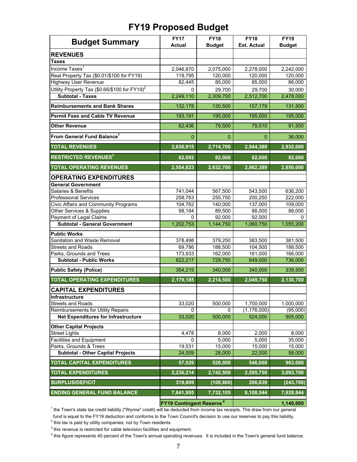### **FY19 Proposed Budget**

| <b>Budget Summary</b>                                     | <b>FY17</b><br><b>Actual</b>               | <b>FY18</b><br><b>Budget</b> | <b>FY18</b><br><b>Est. Actual</b> | <b>FY19</b><br><b>Budget</b> |
|-----------------------------------------------------------|--------------------------------------------|------------------------------|-----------------------------------|------------------------------|
| <b>REVENUES</b>                                           |                                            |                              |                                   |                              |
| <b>Taxes</b>                                              |                                            |                              |                                   |                              |
| Income Taxes <sup>1</sup>                                 | 2,046,870                                  | 2,075,000                    | 2,278,000                         | 2,242,000                    |
| Real Property Tax (\$0.01/\$100 for FY19)                 | 119,795                                    | 120,000                      | 120,000                           | 120,000                      |
| <b>Highway User Revenue</b>                               | 82,445                                     | 85,000                       | 85,000                            | 86,000                       |
| Utility Property Tax (\$0.66/\$100 for FY19) <sup>2</sup> | 0                                          | 29,700                       | 29,700                            | 30,000                       |
| <b>Subtotal - Taxes</b>                                   | 2,249,110                                  | 2,309,700                    | 2,512,700                         | 2,478,000                    |
| <b>Reimbursements and Bank Shares</b>                     | 132,178                                    | 130,500                      | 157,179                           | 131,500                      |
| <b>Permit Fees and Cable TV Revenue</b>                   | 193,191                                    | 195,000                      | 195,000                           | 195,000                      |
| <b>Other Revenue</b>                                      | 62,436                                     | 79,500                       | 79,510                            | 91,500                       |
| From General Fund Balance <sup>1</sup>                    | $\mathbf{0}$                               | 0                            | $\mathbf{0}$                      | 36,000                       |
| <b>TOTAL REVENUES</b>                                     | 2,636,915                                  | 2,714,700                    | 2,944,389                         | 2,932,000                    |
| <b>RESTRICTED REVENUES<sup>3</sup></b>                    | 82,092                                     | 82,000                       | 82,000                            | 82,000                       |
| <b>TOTAL OPERATING REVENUES</b>                           | 2,554,823                                  | 2,632,700                    | 2,862,389                         | 2,850,000                    |
| <b>OPERATING EXPENDITURES</b>                             |                                            |                              |                                   |                              |
| <b>General Government</b>                                 |                                            |                              |                                   |                              |
| Salaries & Benefits                                       | 741,044                                    | 567,500                      | 543,500                           | 636,200                      |
| <b>Professional Services</b>                              | 258,763                                    | 255,750                      | 200,250                           | 222,000                      |
| Civic Affairs and Community Programs                      | 104,762                                    | 140,000                      | 137,000                           | 109,000                      |
| Other Services & Supplies                                 | 98,184                                     | 89,500                       | 88,000                            | 88,000                       |
| Payment of Legal Claims                                   | 0                                          | 92,000                       | 92,000                            | 0                            |
| <b>Subtotal - General Government</b>                      | 1,202,753                                  | 1,144,750                    | 1,060,750                         | 1,055,200                    |
| <b>Public Works</b>                                       |                                            |                              |                                   |                              |
| Sanitation and Waste Removal                              | 378,498                                    | 379,250                      | 383,500                           | 381,500                      |
| <b>Streets and Roads</b>                                  | 69,786                                     | 188,500                      | 104,500                           | 188,500                      |
| Parks, Grounds and Trees                                  | 173,933                                    | 162,000                      | 161,000                           | 166,000                      |
| <b>Subtotal - Public Works</b>                            | 622,217                                    | 729,750                      | 649,000                           | 736,000                      |
| <b>Public Safety (Police)</b>                             | 354,215                                    | 340,000                      | 340,000                           | 339,500                      |
| <b>TOTAL OPERATING EXPENDITURES</b>                       | 2,179,185                                  | 2,214,500                    | 2,049,750                         | 2,130,700                    |
| <b>CAPITAL EXPENDITURES</b>                               |                                            |                              |                                   |                              |
| <b>Infrastructure</b>                                     |                                            |                              |                                   |                              |
| <b>Streets and Roads</b>                                  | 33,020                                     | 500,000                      | 1,700,000                         | 1,000,000                    |
| Reimbursements for Utility Repairs                        | 0                                          | 0                            | (1, 176, 000)                     | (95,000)                     |
| <b>Net Expenditures for Infrastructure</b>                | 33,020                                     | 500,000                      | 524,000                           | 905,000                      |
| <b>Other Capital Projects</b>                             |                                            |                              |                                   |                              |
| <b>Street Lights</b>                                      | 4,478                                      | 8,000                        | 2,000                             | 8,000                        |
| <b>Facilities and Equipment</b>                           | 0                                          | 5,000                        | 5,000                             | 35,000                       |
| Parks, Grounds & Trees                                    | 19,531                                     | 15,000                       | 15,000                            | 15,000                       |
| <b>Subtotal - Other Capital Projects</b>                  | 24,009                                     | 28,000                       | 22,000                            | 58,000                       |
| <b>TOTAL CAPITAL EXPENDITURES</b>                         | 57,029                                     | 528,000                      | 546,000                           | 963,000                      |
| <b>TOTAL EXPENDITURES</b>                                 | 2,236,214                                  | 2,742,500                    | 2,595,750                         | 3,093,700                    |
| <b>SURPLUS/DEFICIT</b>                                    | 318,609                                    | (109, 800)                   | 266,639                           | (243, 700)                   |
| <b>ENDING GENERAL FUND BALANCE</b>                        | 7,841,905                                  | 7,732,105                    | 8,108,544                         | 7,828,844                    |
|                                                           | <b>FY19 Contingent Reserve<sup>4</sup></b> |                              | 1,140,000                         |                              |

 $^{\rm 1}$  the Town's state tax credit liability ("Wynne" credit) will be deducted from income tax receipts. The draw from our general

 fund is equal to the FY19 deduction and conforms to the Town Council's decision to use our reserves to pay this liability.  $^{2}$  this tax is paid by utility companies, not by Town residents.

 $^3$  this revenue is restricted for cable television facilities and equipment.

 $^4$  this figure represents 40 percent of the Town's annual operating revenues. It is included in the Town's general fund balance.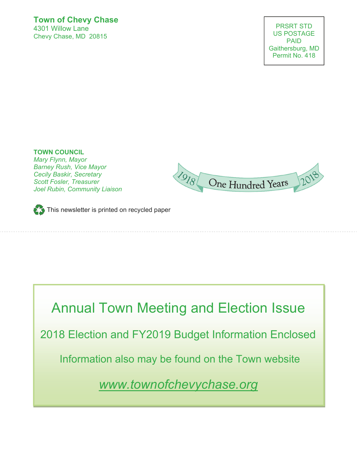#### **Town of Chevy Chase**  4301 Willow Lane Chevy Chase, MD 20815

**TOWN COUNCIL**  *Mary Flynn, Mayor Barney Rush, Vice Mayor Cecily Baskir, Secretary Scott Fosler, Treasurer Joel Rubin, Community Liaison* 





Annual Town Meeting and Election Issue 2018 Election and FY2019 Budget Information Enclosed Information also may be found on the Town website *www.townofchevychase.org*